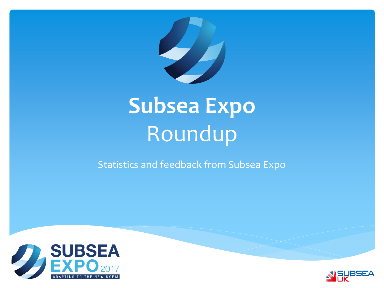

# **Subsea Expo** Roundup

Statistics and feedback from Subsea Expo



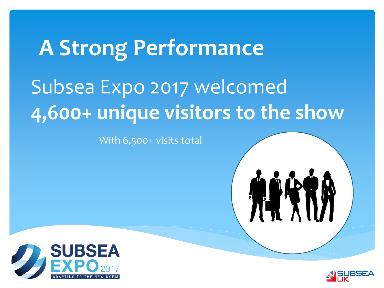# Subsea Expo 2017 welcomed **4,600+ unique visitors to the show A Strong Performance**

With 6,500+ visits total





**ALAI**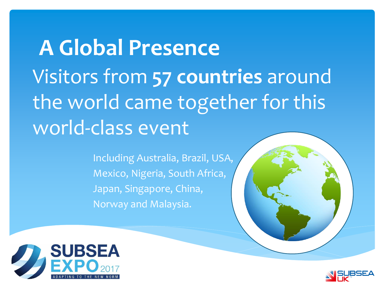# Visitors from **57 countries** around the world came together for this world-class event **A Global Presence**

Including Australia, Brazil, USA, Mexico, Nigeria, South Africa, Japan, Singapore, China, Norway and Malaysia.



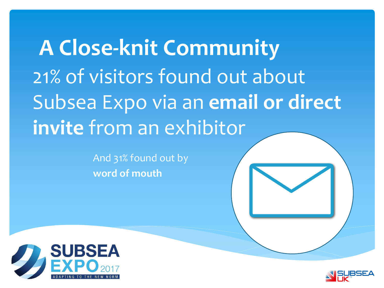21% of visitors found out about Subsea Expo via an **email or direct invite** from an exhibitor **A Close-knit Community**

> And 31% found out by **word of mouth**



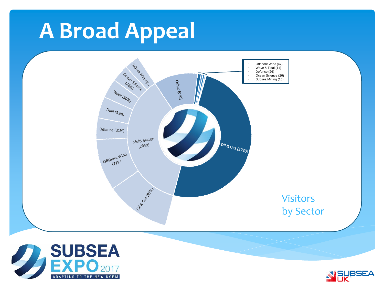# **A Broad Appeal**





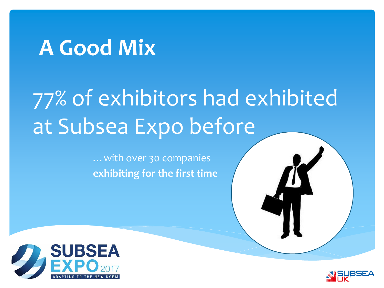### **A Good Mix**

# 77% of exhibitors had exhibited at Subsea Expo before

…with over 30 companies **exhibiting for the first time**



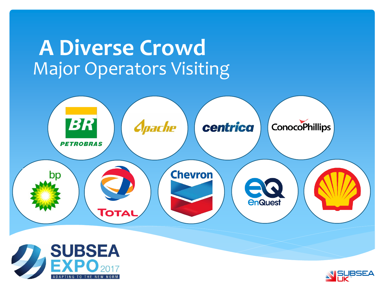#### Major Operators Visiting **A Diverse Crowd**





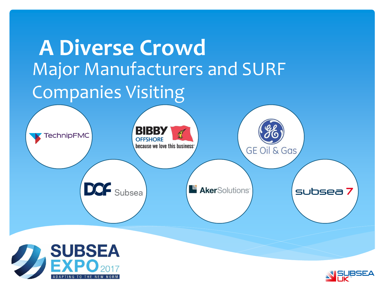



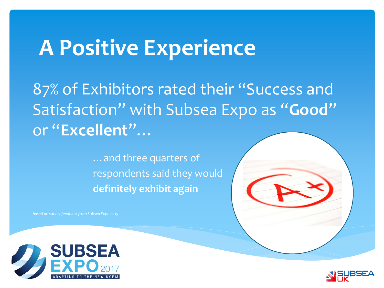### **A Positive Experience**

87% of Exhibitors rated their "Success and Satisfaction" with Subsea Expo as "**Good**" or "**Excellent**"…

> …and three quarters of respondents said they would **definitely exhibit again**



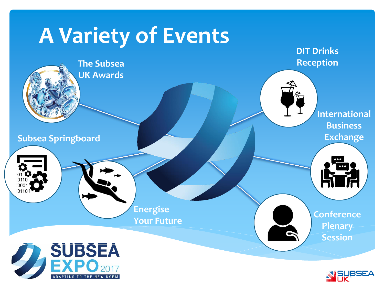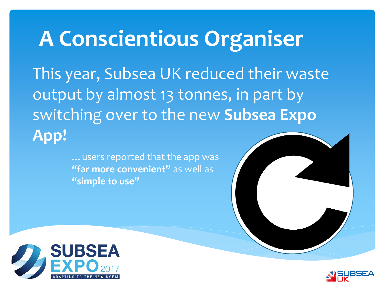### **A Conscientious Organiser**

This year, Subsea UK reduced their waste output by almost 13 tonnes, in part by switching over to the new **Subsea Expo App!**

> …users reported that the app was **"far more convenient"** as well as **"simple to use"**



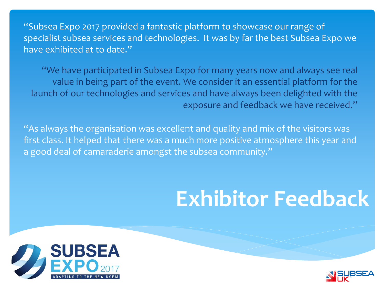"Subsea Expo 2017 provided a fantastic platform to showcase our range of specialist subsea services and technologies. It was by far the best Subsea Expo we have exhibited at to date."

"We have participated in Subsea Expo for many years now and always see real value in being part of the event. We consider it an essential platform for the launch of our technologies and services and have always been delighted with the exposure and feedback we have received."

"As always the organisation was excellent and quality and mix of the visitors was first class. It helped that there was a much more positive atmosphere this year and a good deal of camaraderie amongst the subsea community."

# **Exhibitor Feedback**



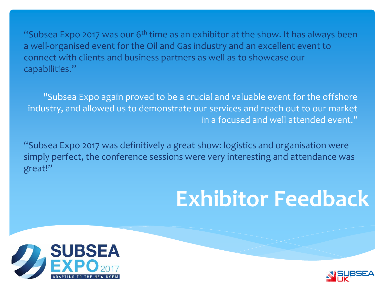"Subsea Expo 2017 was our  $6<sup>th</sup>$  time as an exhibitor at the show. It has always been a well-organised event for the Oil and Gas industry and an excellent event to connect with clients and business partners as well as to showcase our capabilities."

"Subsea Expo again proved to be a crucial and valuable event for the offshore industry, and allowed us to demonstrate our services and reach out to our market in a focused and well attended event."

"Subsea Expo 2017 was definitively a great show: logistics and organisation were simply perfect, the conference sessions were very interesting and attendance was great!"

# **Exhibitor Feedback**